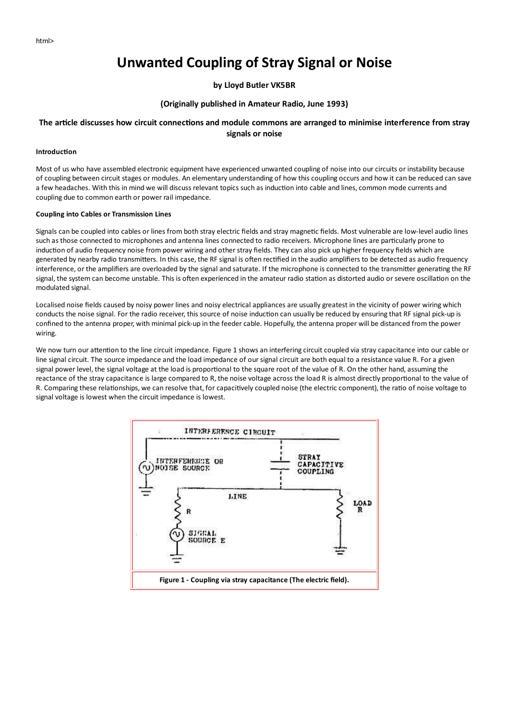# **Unwanted Coupling of Stray Signal or Noise**

## by Lloyd Butler VK5BR

### (Originally published in Amateur Radio, June 1993)

# The article discusses how circuit connections and module commons are arranged to minimise interference from stray signals or noise

#### Introduction

Most of us who have assembled electronic equipment have experienced unwanted coupling of noise into our circuits or instability because of coupling between circuit stages or modules. An elementary understanding of how this coupling occurs and how it can be reduced can save a few headaches. With this in mind we will discuss relevant topics such as induction into cable and lines, common mode currents and coupling due to common earth or power rail impedance.

#### **Coupling into Cables or Transmission Lines**

Signals can be coupled into cables or lines from both stray electric fields and stray magnetic fields. Most vulnerable are low-level audio lines such as those connected to microphones and antenna lines connected to radio receivers. Microphone lines are particularly prone to induction of audio frequency noise from power wiring and other stray fields. They can also pick up higher frequency fields which are generated by nearby radio transmitters. In this case, the RF signal is often rectified in the audio amplifiers to be detected as audio frequency interference, or the amplifiers are overloaded by the signal and saturate. If the microphone is connected to the transmitter generating the RF signal, the system can become unstable. This is often experienced in the amateur radio station as distorted audio or severe oscillation on the modulated signal.

Localised noise fields caused by noisy power lines and noisy electrical appliances are usually greatest in the vicinity of power wiring which conducts the noise signal. For the radio receiver, this source of noise induction can usually be reduced by ensuring that RF signal pick-up is confined to the antenna proper, with minimal pick-up in the feeder cable. Hopefully, the antenna proper will be distanced from the power wiring.

We now turn our attention to the line circuit impedance. Figure 1 shows an interfering circuit coupled via stray capacitance into our cable or line signal circuit. The source impedance and the load impedance of our signal circuit are both equal to a resistance value R. For a given signal power level, the signal voltage at the load is proportional to the square root of the value of R. On the other hand, assuming the reactance of the stray capacitance is large compared to R, the noise voltage across the load R is almost directly proportional to the value of R. Comparing these relationships, we can resolve that, for capacitively coupled noise (the electric component), the ratio of noise voltage to signal voltage is lowest when the circuit impedance is lowest.

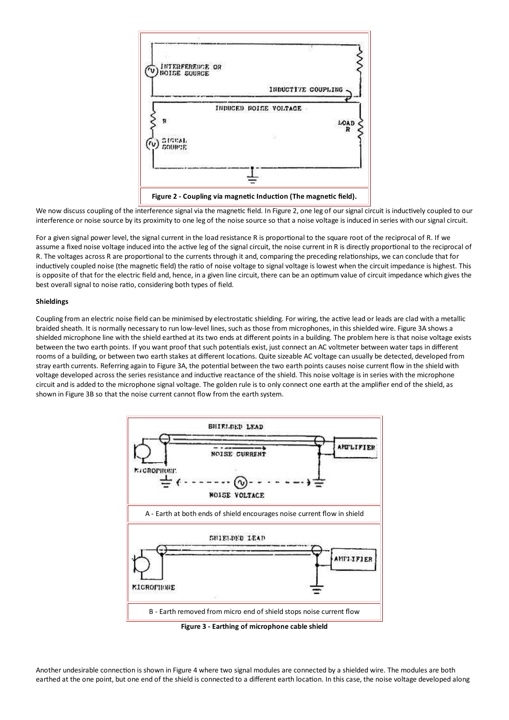

We now discuss coupling of the interference signal via the magnetic field. In Figure 2, one leg of our signal circuit is inductively coupled to our interference or noise source by its proximity to one leg of the noise source so that a noise voltage is induced in series with our signal circuit.

For a given signal power level, the signal current in the load resistance R is proportional to the square root of the reciprocal of R. If we assume a fixed noise voltage induced into the active leg of the signal circuit, the noise current in R is directly proportional to the reciprocal of R. The voltages across R are proportional to the currents through it and, comparing the preceding relationships, we can conclude that for inductively coupled noise (the magnetic field) the ratio of noise voltage to signal voltage is lowest when the circuit impedance is highest. This is opposite of that for the electric field and, hence, in a given line circuit, there can be an optimum value of circuit impedance which gives the best overall signal to noise ratio, considering both types of field.

#### **Shieldings**

Coupling from an electric noise field can be minimised by electrostatic shielding. For wiring, the active lead or leads are clad with a metallic braided sheath. It is normally necessary to run low-level lines, such as those from microphones, in this shielded wire. Figure 3A shows a shielded microphone line with the shield earthed at its two ends at different points in a building. The problem here is that noise voltage exists between the two earth points. If you want proof that such potentials exist, just connect an AC voltmeter between water taps in different rooms of a building, or between two earth stakes at different locations. Quite sizeable AC voltage can usually be detected, developed from stray earth currents. Referring again to Figure 3A, the potential between the two earth points causes noise current flow in the shield with voltage developed across the series resistance and inductive reactance of the shield. This noise voltage is in series with the microphone circuit and is added to the microphone signal voltage. The golden rule is to only connect one earth at the amplifier end of the shield, as shown in Figure 3B so that the noise current cannot flow from the earth system.



Figure 3 - Earthing of microphone cable shield

Another undesirable connection is shown in Figure 4 where two signal modules are connected by a shielded wire. The modules are both earthed at the one point, but one end of the shield is connected to a different earth location. In this case, the noise voltage developed along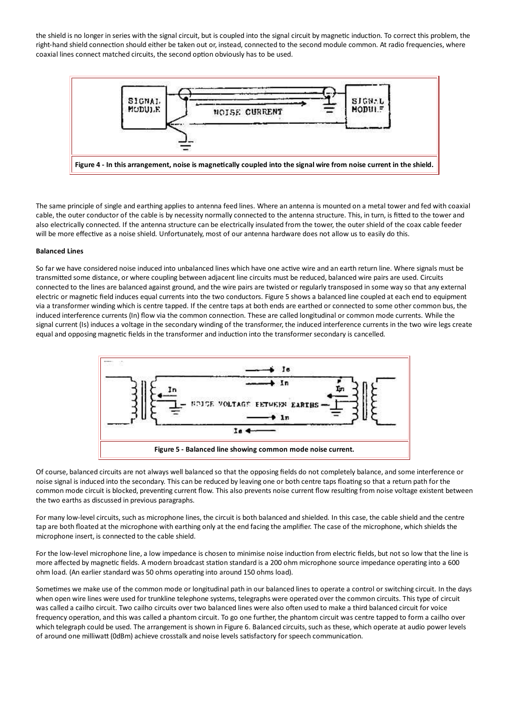the shield is no longer in series with the signal circuit, but is coupled into the signal circuit by magnetic induction. To correct this problem, the right-hand shield connection should either be taken out or, instead, connected to the second module common. At radio frequencies, where coaxial lines connect matched circuits, the second option obviously has to be used.



The same principle of single and earthing applies to antenna feed lines. Where an antenna is mounted on a metal tower and fed with coaxial cable, the outer conductor of the cable is by necessity normally connected to the antenna structure. This, in turn, is fitted to the tower and also electrically connected. If the antenna structure can be electrically insulated from the tower, the outer shield of the coax cable feeder will be more effective as a noise shield. Unfortunately, most of our antenna hardware does not allow us to easily do this.

#### **Balanced Lines**

So far we have considered noise induced into unbalanced lines which have one active wire and an earth return line. Where signals must be transmitted some distance, or where coupling between adjacent line circuits must be reduced, balanced wire pairs are used. Circuits connected to the lines are balanced against ground, and the wire pairs are twisted or regularly transposed in some way so that any external electric or magnetic field induces equal currents into the two conductors. Figure 5 shows a balanced line coupled at each end to equipment via a transformer winding which is centre tapped. If the centre taps at both ends are earthed or connected to some other common bus, the induced interference currents (In) flow via the common connection. These are called longitudinal or common mode currents. While the signal current (Is) induces a voltage in the secondary winding of the transformer, the induced interference currents in the two wire legs create equal and opposing magnetic fields in the transformer and induction into the transformer secondary is cancelled.



Of course, balanced circuits are not always well balanced so that the opposing fields do not completely balance, and some interference or noise signal is induced into the secondary. This can be reduced by leaving one or both centre taps floating so that a return path for the common mode circuit is blocked, preventing current flow. This also prevents noise current flow resulting from noise voltage existent between the two earths as discussed in previous paragraphs.

For many low-level circuits, such as microphone lines, the circuit is both balanced and shielded. In this case, the cable shield and the centre tap are both floated at the microphone with earthing only at the end facing the amplifier. The case of the microphone, which shields the microphone insert, is connected to the cable shield.

For the low-level microphone line, a low impedance is chosen to minimise noise induction from electric fields, but not so low that the line is more affected by magnetic fields. A modern broadcast station standard is a 200 ohm microphone source impedance operating into a 600 ohm load. (An earlier standard was 50 ohms operating into around 150 ohms load).

Sometimes we make use of the common mode or longitudinal path in our balanced lines to operate a control or switching circuit. In the days when open wire lines were used for trunkline telephone systems, telegraphs were operated over the common circuits. This type of circuit was called a cailho circuit. Two cailho circuits over two balanced lines were also often used to make a third balanced circuit for voice frequency operation, and this was called a phantom circuit. To go one further, the phantom circuit was centre tapped to form a cailho over which telegraph could be used. The arrangement is shown in Figure 6. Balanced circuits, such as these, which operate at audio power levels of around one milliwatt (OdBm) achieve crosstalk and noise levels satisfactory for speech communication.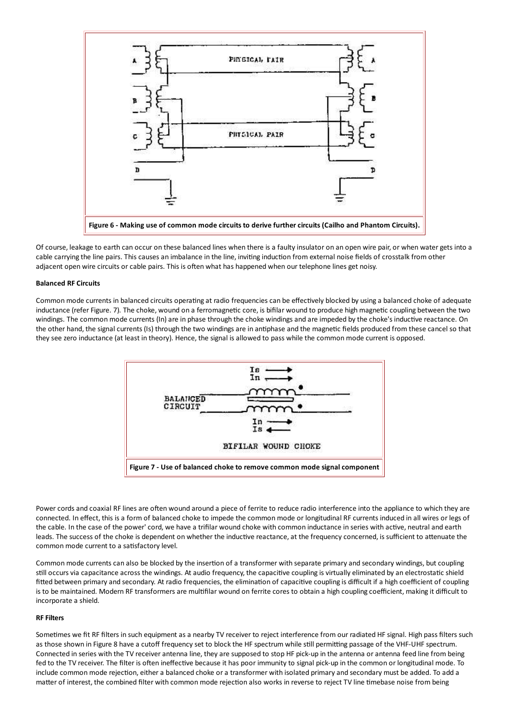

Of course, leakage to earth can occur on these balanced lines when there is a faulty insulator on an open wire pair, or when water gets into a cable carrying the line pairs. This causes an imbalance in the line, inviting induction from external noise fields of crosstalk from other adjacent open wire circuits or cable pairs. This is often what has happened when our telephone lines get noisy.

#### **Balanced RF Circuits**

Common mode currents in balanced circuits operating at radio frequencies can be effectively blocked by using a balanced choke of adequate inductance (refer Figure. 7). The choke, wound on a ferromagnetic core, is bifilar wound to produce high magnetic coupling between the two windings. The common mode currents (In) are in phase through the choke windings and are impeded by the choke's inductive reactance. On the other hand, the signal currents (Is) through the two windings are in antiphase and the magnetic fields produced from these cancel so that they see zero inductance (at least in theory). Hence, the signal is allowed to pass while the common mode current is opposed.



Power cords and coaxial RF lines are often wound around a piece of ferrite to reduce radio interference into the appliance to which they are connected. In effect, this is a form of balanced choke to impede the common mode or longitudinal RF currents induced in all wires or legs of the cable. In the case of the power' cord, we have a trifilar wound choke with common inductance in series with active, neutral and earth leads. The success of the choke is dependent on whether the inductive reactance, at the frequency concerned, is sufficient to attenuate the common mode current to a satisfactory level.

Common mode currents can also be blocked by the insertion of a transformer with separate primary and secondary windings, but coupling still occurs via capacitance across the windings. At audio frequency, the capacitive coupling is virtually eliminated by an electrostatic shield fitted between primary and secondary. At radio frequencies, the elimination of capacitive coupling is difficult if a high coefficient of coupling is to be maintained. Modern RF transformers are multifilar wound on ferrite cores to obtain a high coupling coefficient, making it difficult to incorporate a shield.

#### **RF Filters**

Sometimes we fit RF filters in such equipment as a nearby TV receiver to reject interference from our radiated HF signal. High pass filters such as those shown in Figure 8 have a cutoff frequency set to block the HF spectrum while still permitting passage of the VHF-UHF spectrum. Connected in series with the TV receiver antenna line, they are supposed to stop HF pick-up in the antenna or antenna feed line from being fed to the TV receiver. The filter is often ineffective because it has poor immunity to signal pick-up in the common or longitudinal mode. To include common mode rejection, either a balanced choke or a transformer with isolated primary and secondary must be added. To add a matter of interest, the combined filter with common mode rejection also works in reverse to reject TV line timebase noise from being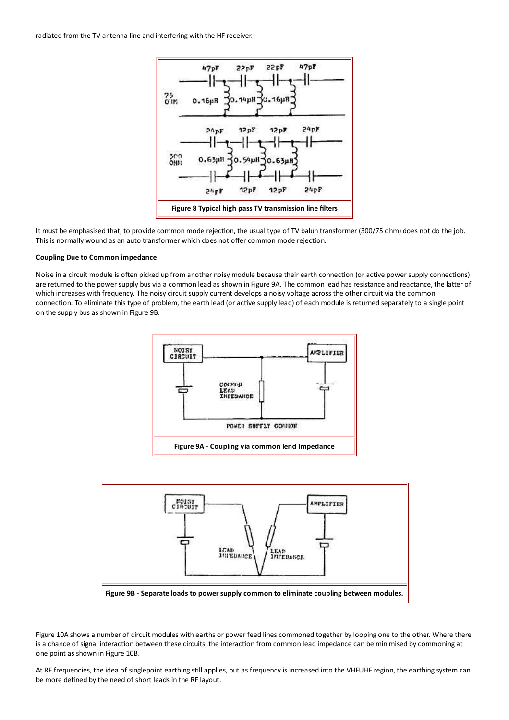

It must be emphasised that, to provide common mode rejection, the usual type of TV balun transformer (300/75 ohm) does not do the job. This is normally wound as an auto transformer which does not offer common mode rejection.

#### **Coupling Due to Common impedance**

Noise in a circuit module is often picked up from another noisy module because their earth connection (or active power supply connections) are returned to the power supply bus via a common lead as shown in Figure 9A. The common lead has resistance and reactance, the latter of which increases with frequency. The noisy circuit supply current develops a noisy voltage across the other circuit via the common connection. To eliminate this type of problem, the earth lead (or active supply lead) of each module is returned separately to a single point on the supply bus as shown in Figure 9B.





Figure 10A shows a number of circuit modules with earths or power feed lines commoned together by looping one to the other. Where there is a chance of signal interaction between these circuits, the interaction from common lead impedance can be minimised by commoning at one point as shown in Figure 10B.

At RF frequencies, the idea of singlepoint earthing still applies, but as frequency is increased into the VHFUHF region, the earthing system can be more defined by the need of short leads in the RF layout.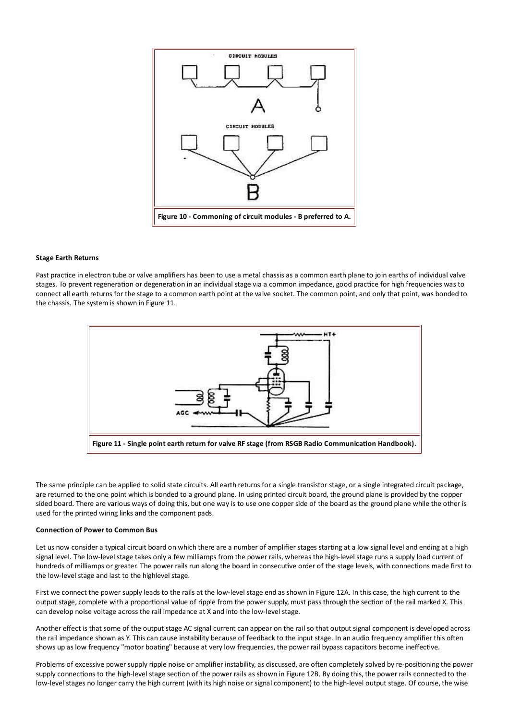

#### **Stage Earth Returns**

Past practice in electron tube or valve amplifiers has been to use a metal chassis as a common earth plane to join earths of individual valve stages. To prevent regeneration or degeneration in an individual stage via a common impedance, good practice for high frequencies was to connect all earth returns for the stage to a common earth point at the valve socket. The common point, and only that point, was bonded to the chassis. The system is shown in Figure 11.



The same principle can be applied to solid state circuits. All earth returns for a single transistor stage, or a single integrated circuit package, are returned to the one point which is bonded to a ground plane. In using printed circuit board, the ground plane is provided by the copper sided board. There are various ways of doing this, but one way is to use one copper side of the board as the ground plane while the other is used for the printed wiring links and the component pads.

#### **Connection of Power to Common Bus**

Let us now consider a typical circuit board on which there are a number of amplifier stages starting at a low signal level and ending at a high signal level. The low-level stage takes only a few milliamps from the power rails, whereas the high-level stage runs a supply load current of hundreds of milliamps or greater. The power rails run along the board in consecutive order of the stage levels, with connections made first to the low-level stage and last to the highlevel stage.

First we connect the power supply leads to the rails at the low-level stage end as shown in Figure 12A. In this case, the high current to the output stage, complete with a proportional value of ripple from the power supply, must pass through the section of the rail marked X. This can develop noise voltage across the rail impedance at X and into the low-level stage.

Another effect is that some of the output stage AC signal current can appear on the rail so that output signal component is developed across the rail impedance shown as Y. This can cause instability because of feedback to the input stage. In an audio frequency amplifier this often shows up as low frequency "motor boating" because at very low frequencies, the power rail bypass capacitors become ineffective.

Problems of excessive power supply ripple noise or amplifier instability, as discussed, are often completely solved by re-positioning the power supply connections to the high-level stage section of the power rails as shown in Figure 12B. By doing this, the power rails connected to the low-level stages no longer carry the high current (with its high noise or signal component) to the high-level output stage. Of course, the wise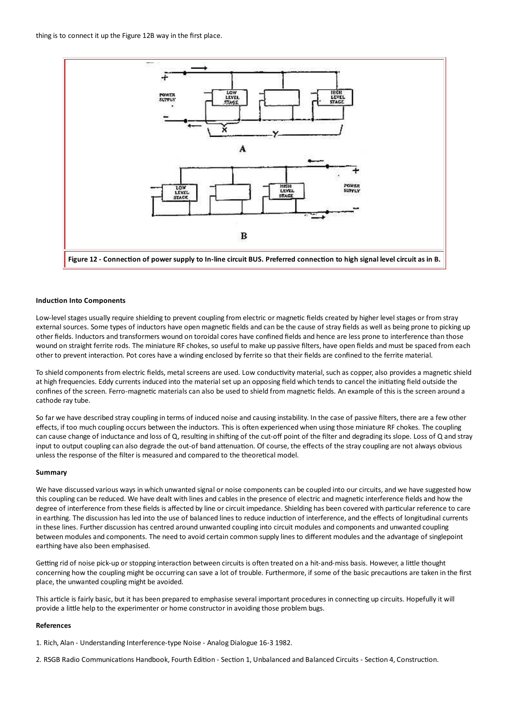

#### **Induction Into Components**

Low-level stages usually require shielding to prevent coupling from electric or magnetic fields created by higher level stages or from stray external sources. Some types of inductors have open magnetic fields and can be the cause of stray fields as well as being prone to picking up other fields. Inductors and transformers wound on toroidal cores have confined fields and hence are less prone to interference than those wound on straight ferrite rods. The miniature RF chokes, so useful to make up passive filters, have open fields and must be spaced from each other to prevent interaction. Pot cores have a winding enclosed by ferrite so that their fields are confined to the ferrite material.

To shield components from electric fields, metal screens are used. Low conductivity material, such as copper, also provides a magnetic shield at high frequencies. Eddy currents induced into the material set up an opposing field which tends to cancel the initiating field outside the confines of the screen. Ferro-magnetic materials can also be used to shield from magnetic fields. An example of this is the screen around a cathode ray tube.

So far we have described stray coupling in terms of induced noise and causing instability. In the case of passive filters, there are a few other effects, if too much coupling occurs between the inductors. This is often experienced when using those miniature RF chokes. The coupling can cause change of inductance and loss of Q, resulting in shifting of the cut-off point of the filter and degrading its slope. Loss of Q and stray input to output coupling can also degrade the out-of band attenuation. Of course, the effects of the stray coupling are not always obvious unless the response of the filter is measured and compared to the theoretical model.

#### Summary

We have discussed various ways in which unwanted signal or noise components can be coupled into our circuits, and we have suggested how this coupling can be reduced. We have dealt with lines and cables in the presence of electric and magnetic interference fields and how the degree of interference from these fields is affected by line or circuit impedance. Shielding has been covered with particular reference to care in earthing. The discussion has led into the use of balanced lines to reduce induction of interference, and the effects of longitudinal currents in these lines. Further discussion has centred around unwanted coupling into circuit modules and components and unwanted coupling between modules and components. The need to avoid certain common supply lines to different modules and the advantage of singlepoint earthing have also been emphasised.

Getting rid of noise pick-up or stopping interaction between circuits is often treated on a hit-and-miss basis. However, a little thought concerning how the coupling might be occurring can save a lot of trouble. Furthermore, if some of the basic precautions are taken in the first place, the unwanted coupling might be avoided.

This article is fairly basic, but it has been prepared to emphasise several important procedures in connecting up circuits. Hopefully it will provide a little help to the experimenter or home constructor in avoiding those problem bugs.

#### References

1. Rich, Alan - Understanding Interference-type Noise - Analog Dialogue 16-3 1982.

2. RSGB Radio Communications Handbook, Fourth Edition - Section 1, Unbalanced and Balanced Circuits - Section 4, Construction.